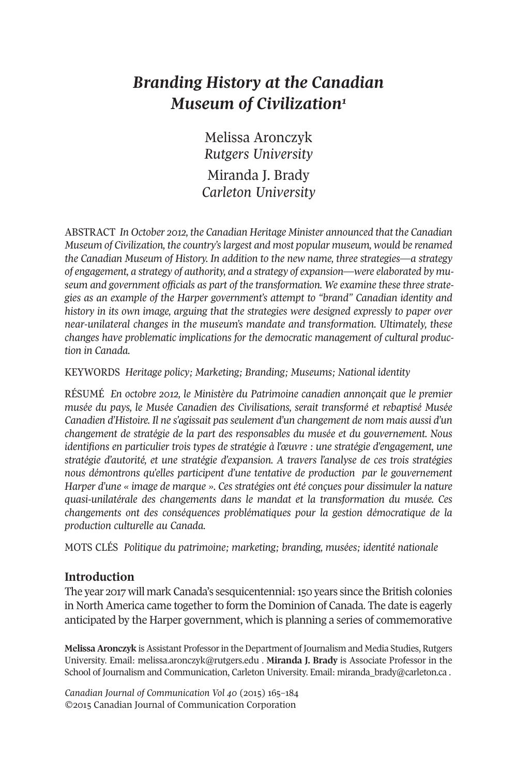# *Branding History at the Canadian Museum of Civilizatio[n1](#page-15-0)*

Melissa Aronczyk *Rutgers University* Miranda J. Brady

*Carleton University*

ABSTRACT *In October 2012, the Canadian Heritage Minister announced that the Canadian Museum of Civilization, the country'slargest and most popular museum, would be renamed the Canadian Museum of History. In addition to the new name, three strategies—a strategy of engagement, a strategy of authority, and a strategy of expansion—were elaborated by museum and government officials as part of the transformation. We examine these three strategies as an example of the Harper government's attempt to "brand" Canadian identity and history in its own image, arguing that the strategies were designed expressly to paper over near-unilateral changes in the museum's mandate and transformation. Ultimately, these changes have problematic implications for the democratic management of cultural production in Canada.*

## KEYWORDS *Heritage policy; Marketing; Branding; Museums; National identity*

RÉSUMÉ *En octobre 2012, le Ministère du Patrimoine canadien annonçait que le premier musée du pays, le Musée Canadien des Civilisations, serait transformé et rebaptisé Musée Canadien d'Histoire. Il ne s'agissait pas seulement d'un changement de nom mais aussi d'un changement de stratégie de la part des responsables du musée et du gouvernement. Nous identifions en particulier trois types de stratégie à l'œuvre : une stratégie d'engagement, une stratégie d'autorité, et une stratégie d'expansion. A travers l'analyse de ces trois stratégies nous démontrons qu'elles participent d'une tentative de production par le gouvernement Harper d'une « image de marque ». Ces stratégies ont été conçues pour dissimuler la nature quasi-unilatérale des changements dans le mandat et la transformation du musée. Ces changements ont des conséquences problématiques pour la gestion démocratique de la production culturelle au Canada.*

MOTS CLÉS *Politique du patrimoine; marketing; branding, musées; identité nationale*

## **Introduction**

The year 2017 will mark Canada's sesquicentennial:150 years since the British colonies in North America came together to form the Dominion of Canada. The date is eagerly anticipated by the Harper government, which is planning a series of commemorative

Melissa Aronczyk is Assistant Professor in the Department of Journalism and Media Studies, Rutgers University. Email: [melissa.aronczyk@rutgers.edu](mailto:melissa.aronczyk@rutgers.edu) . **Miranda J. Brady** is Associate Professor in the School of Journalism and Communication, Carleton University. Email: [miranda\\_brady@carleton.ca](mailto:miranda_brady@carleton.ca) .

*Canadian Journal of [Communication](http://www.cjc-online.ca) Vol 40* (2015) 165–184 ©2015 Canadian Journal of Communication Corporation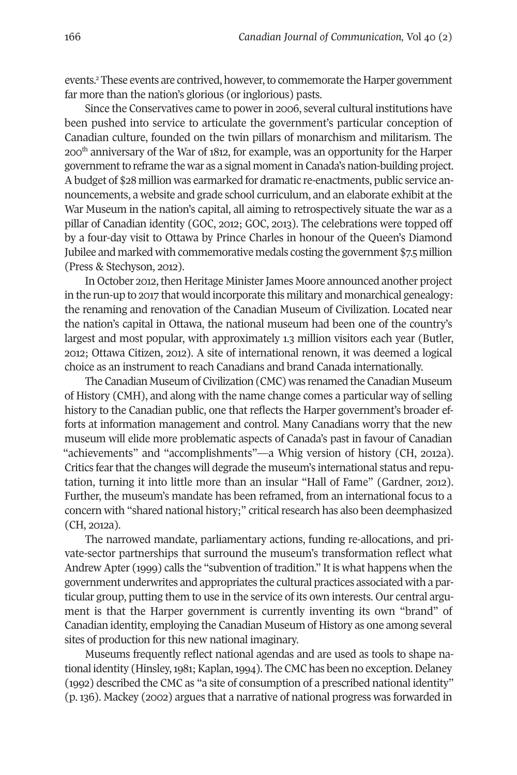events.<sup>[2](#page-15-1)</sup> These events are contrived, however, to commemorate the Harper government far more than the nation's glorious (or inglorious) pasts.

Since the Conservatives came to powerin 2006, several cultural institutions have been pushed into service to articulate the government's particular conception of Canadian culture, founded on the twin pillars of monarchism and militarism. The 200th anniversary of the War of 1812, for example, was an opportunity for the Harper governmentto reframe the war as a signal momentin Canada's nation-building project. Abudget of \$28 million was earmarked for dramatic re-enactments, public service announcements, a website and grade school curriculum, and an elaborate exhibit at the War Museum in the nation's capital, all aiming to retrospectively situate the war as a pillar of Canadian identity (GOC, 2012; GOC, 2013). The celebrations were topped off by a four-day visit to Ottawa by Prince Charles in honour of the Queen's Diamond Jubilee and marked with commemorative medals costing the government \$7.5 million (Press & Stechyson, 2012).

In October 2012, then Heritage Minister James Moore announced another project in the run-up to 2017 that would incorporate this military and monarchical genealogy: the renaming and renovation of the Canadian Museum of Civilization. Located near the nation's capital in Ottawa, the national museum had been one of the country's largest and most popular, with approximately 1.3 million visitors each year (Butler, 2012; Ottawa Citizen, 2012). A site of international renown, it was deemed a logical choice as an instrument to reach Canadians and brand Canada internationally.

The Canadian Museum of Civilization (CMC) was renamed the Canadian Museum of History (CMH), and along with the name change comes a particular way of selling history to the Canadian public, one that reflects the Harper government's broader efforts at information management and control. Many Canadians worry that the new museum will elide more problematic aspects of Canada's past in favour of Canadian "achievements" and "accomplishments"—a Whig version of history (CH, 2012a). Critics fearthat the changes will degrade the museum's international status and reputation, turning it into little more than an insular "Hall of Fame" (Gardner, 2012). Further, the museum's mandate has been reframed, from an international focus to a concern with "shared national history;" critical research has also been deemphasized (CH, 2012a).

The narrowed mandate, parliamentary actions, funding re-allocations, and private-sector partnerships that surround the museum's transformation reflect what Andrew Apter (1999) calls the "subvention of tradition." It is what happens when the government underwrites and appropriates the cultural practices associated with a particular group, putting them to use in the service of its own interests. Our central argument is that the Harper government is currently inventing its own "brand" of Canadian identity, employing the Canadian Museum of History as one among several sites of production for this new national imaginary.

Museums frequently reflect national agendas and are used as tools to shape national identity (Hinsley, 1981; Kaplan, 1994). The CMC has been no exception. Delaney (1992) described the CMC as "a site of consumption of a prescribed national identity" (p. 136). Mackey (2002) argues that a narrative of national progress was forwarded in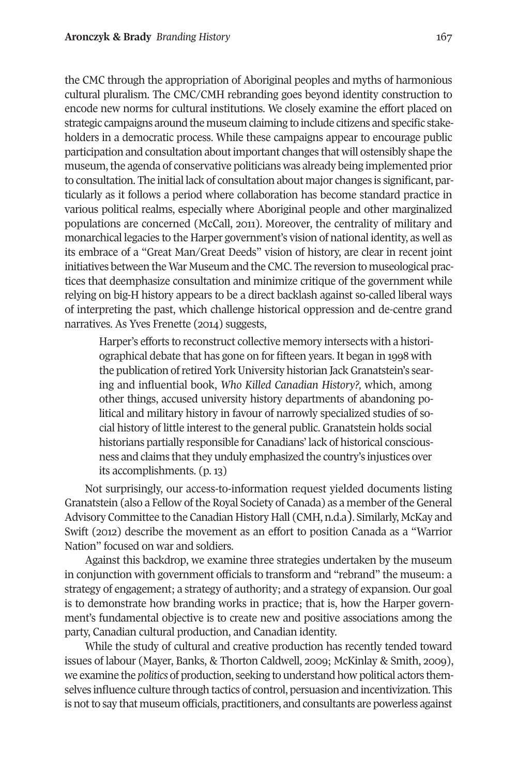the CMC through the appropriation of Aboriginal peoples and myths of harmonious cultural pluralism. The CMC/CMH rebranding goes beyond identity construction to encode new norms for cultural institutions. We closely examine the effort placed on strategic campaigns around the museum claiming to include citizens and specific stakeholders in a democratic process. While these campaigns appear to encourage public participation and consultation aboutimportant changes that will ostensibly shape the museum, the agenda of conservative politicians was already being implemented prior to consultation. The initial lack of consultation about major changes is significant, particularly as it follows a period where collaboration has become standard practice in various political realms, especially where Aboriginal people and other marginalized populations are concerned (McCall, 2011). Moreover, the centrality of military and monarchical legacies to the Harper government's vision of national identity, as well as its embrace of a "Great Man/Great Deeds" vision of history, are clear in recent joint initiatives between the War Museum and the CMC. The reversion to museological practices that deemphasize consultation and minimize critique of the government while relying on big-H history appears to be a direct backlash against so-called liberal ways of interpreting the past, which challenge historical oppression and de-centre grand narratives. As Yves Frenette (2014) suggests,

Harper's efforts to reconstruct collective memory intersects with a historiographical debate that has gone on for fifteen years. It began in 1998 with the publication of retired York University historian Jack Granatstein's searing and influential book, *Who Killed Canadian History?,* which, among other things, accused university history departments of abandoning political and military history in favour of narrowly specialized studies of social history of little interest to the general public. Granatstein holds social historians partially responsible for Canadians' lack of historical consciousness and claims that they unduly emphasized the country's injustices over its accomplishments. (p. 13)

Not surprisingly, our access-to-information request yielded documents listing Granatstein (also a Fellow of the Royal Society of Canada) as a member of the General Advisory Committee to the Canadian History Hall (CMH, n.d.a). Similarly, McKay and Swift (2012) describe the movement as an effort to position Canada as a "Warrior Nation" focused on war and soldiers.

Against this backdrop, we examine three strategies undertaken by the museum in conjunction with government officials to transform and "rebrand" the museum: a strategy of engagement; a strategy of authority; and a strategy of expansion. Our goal is to demonstrate how branding works in practice; that is, how the Harper government's fundamental objective is to create new and positive associations among the party, Canadian cultural production, and Canadian identity.

While the study of cultural and creative production has recently tended toward issues of labour (Mayer, Banks, & Thorton Caldwell, 2009; McKinlay & Smith, 2009), we examine the *politics* of production, seeking to understand how political actors themselves influence culture through tactics of control, persuasion and incentivization. This is not to say that museum officials, practitioners, and consultants are powerless against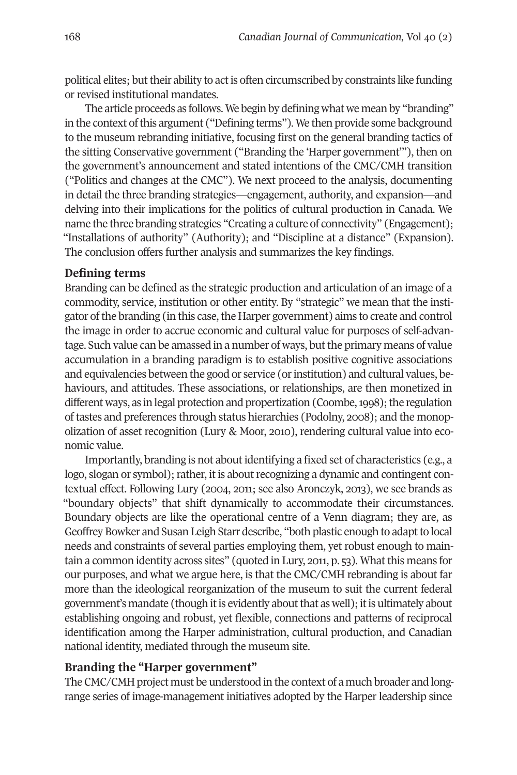political elites; but their ability to act is often circumscribed by constraints like funding or revised institutional mandates.

The article proceeds as follows. We begin by defining what we mean by "branding" in the context of this argument ("Defining terms"). We then provide some background to the museum rebranding initiative, focusing first on the general branding tactics of the sitting Conservative government ("Branding the 'Harper government'"), then on the government's announcement and stated intentions of the CMC/CMH transition ("Politics and changes at the CMC"). We next proceed to the analysis, documenting in detail the three branding strategies—engagement, authority, and expansion—and delving into their implications for the politics of cultural production in Canada. We name the three branding strategies "Creating a culture of connectivity" (Engagement); "Installations of authority" (Authority); and "Discipline at a distance" (Expansion). The conclusion offers further analysis and summarizes the key findings.

## **Defining terms**

Branding can be defined as the strategic production and articulation of an image of a commodity, service, institution or other entity. By "strategic" we mean that the instigator of the branding (in this case, the Harper government) aims to create and control the image in order to accrue economic and cultural value for purposes of self-advantage. Such value can be amassed in a number of ways, butthe primary means of value accumulation in a branding paradigm is to establish positive cognitive associations and equivalencies between the good or service (orinstitution) and cultural values, behaviours, and attitudes. These associations, or relationships, are then monetized in different ways, as in legal protection and propertization (Coombe, 1998); the regulation of tastes and preferences through status hierarchies (Podolny, 2008); and the monopolization of asset recognition (Lury & Moor, 2010), rendering cultural value into economic value.

Importantly, branding is not about identifying a fixed set of characteristics (e.g., a logo, slogan or symbol); rather, it is about recognizing a dynamic and contingent contextual effect. Following Lury (2004, 2011; see also Aronczyk, 2013), we see brands as "boundary objects" that shift dynamically to accommodate their circumstances. Boundary objects are like the operational centre of a Venn diagram; they are, as Geoffrey Bowker and Susan Leigh Starr describe, "both plastic enough to adapt to local needs and constraints of several parties employing them, yet robust enough to maintain a common identity across sites" (quoted in Lury, 2011, p. 53). Whatthis means for our purposes, and what we argue here, is that the CMC/CMH rebranding is about far more than the ideological reorganization of the museum to suit the current federal government's mandate (though it is evidently about that as well); it is ultimately about establishing ongoing and robust, yet flexible, connections and patterns of reciprocal identification among the Harper administration, cultural production, and Canadian national identity, mediated through the museum site.

## **Branding the "Harper government"**

The CMC/CMH project must be understood in the context of a much broader and longrange series of image-management initiatives adopted by the Harper leadership since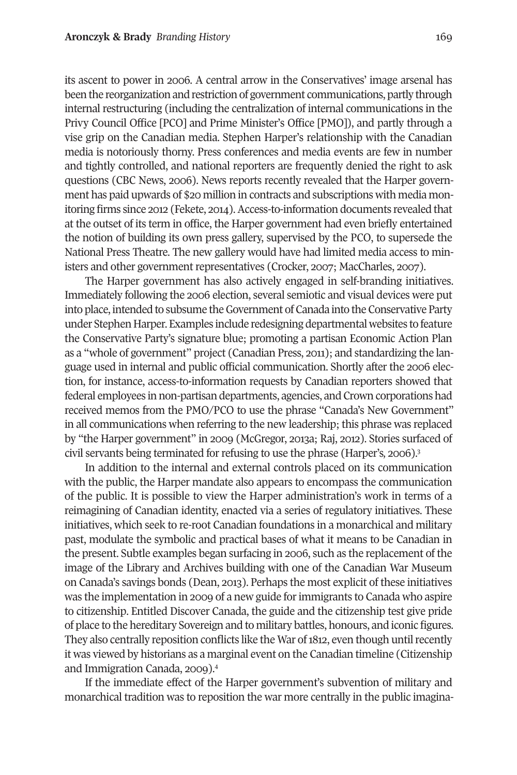its ascent to power in 2006. A central arrow in the Conservatives' image arsenal has been the reorganization and restriction of government communications, partly through internal restructuring (including the centralization of internal communications in the Privy Council Office [PCO] and Prime Minister's Office [PMO]), and partly through a vise grip on the Canadian media. Stephen Harper's relationship with the Canadian media is notoriously thorny. Press conferences and media events are few in number and tightly controlled, and national reporters are frequently denied the right to ask questions (CBC News, 2006). News reports recently revealed that the Harper government has paid upwards of \$20 million in contracts and subscriptions with media monitoring firms since 2012 (Fekete, 2014). Access-to-information documents revealed that at the outset of its term in office, the Harper government had even briefly entertained the notion of building its own press gallery, supervised by the PCO, to supersede the National Press Theatre. The new gallery would have had limited media access to ministers and other government representatives (Crocker, 2007; MacCharles, 2007).

The Harper government has also actively engaged in self-branding initiatives. Immediately following the 2006 election, several semiotic and visual devices were put into place, intended to subsume the Government of Canada into the Conservative Party under Stephen Harper. Examples include redesigning departmental websites to feature the Conservative Party's signature blue; promoting a partisan Economic Action Plan as a "whole of government" project (Canadian Press, 2011); and standardizing the language used in internal and public official communication. Shortly after the 2006 election, for instance, access-to-information requests by Canadian reporters showed that federal employees in non-partisan departments, agencies, and Crown corporations had received memos from the PMO/PCO to use the phrase "Canada's New Government" in all communications when referring to the new leadership; this phrase was replaced by "the Harper government" in 2009 (McGregor, 2013a; Raj, 2012). Stories su[rfa](#page-15-3)ced of civil servants being terminated for refusing to use the phrase (Harper's*,* 2006). 3

In addition to the internal and external controls placed on its communication with the public, the Harper mandate also appears to encompass the communication of the public. It is possible to view the Harper administration's work in terms of a reimagining of Canadian identity, enacted via a series of regulatory initiatives. These initiatives, which seek to re-root Canadian foundations in a monarchical and military past, modulate the symbolic and practical bases of what it means to be Canadian in the present. Subtle examples began surfacing in 2006, such as the replacement of the image of the Library and Archives building with one of the Canadian War Museum on Canada's savings bonds (Dean, 2013). Perhaps the most explicit of these initiatives was the implementation in 2009 of a new guide forimmigrants to Canada who aspire to citizenship. Entitled Discover Canada, the guide and the citizenship test give pride of place to the hereditary Sovereign and to military battles, honours, and iconic figures. They also centrally reposition conflicts like the War of 1812, even though until recently it was viewed by historians as a [ma](#page-15-2)rginal event on the Canadian timeline (Citizenship and Immigration Canada, 2009). 4

If the immediate effect of the Harper government's subvention of military and monarchical tradition was to reposition the war more centrally in the public imagina-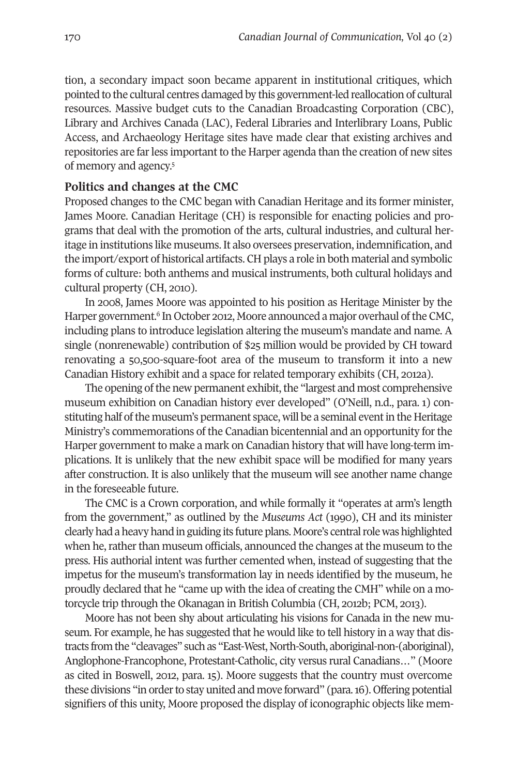tion, a secondary impact soon became apparent in institutional critiques, which pointed to the cultural centres damaged by this government-led reallocation of cultural resources. Massive budget cuts to the Canadian Broadcasting Corporation (CBC), Library and Archives Canada (LAC), Federal Libraries and Interlibrary Loans, Public Access, and Archaeology Heritage sites have made clear that existing archives and repositories are farless [im](#page-15-5)portant to the Harper agenda than the creation of new sites of memory and agency. 5

#### **Politics and changes at the CMC**

Proposed changes to the CMC began with Canadian Heritage and its former minister, James Moore. Canadian Heritage (CH) is responsible for enacting policies and programs that deal with the promotion of the arts, cultural industries, and cultural heritage in institutions like museums. It also oversees preservation, indemnification, and the import/export of historical artifacts. CH plays a role in both material and symbolic forms of culture: both anthems and musical instruments, both cultural holidays and cultural property (CH, 2010).

In 2008, James [M](#page-15-4)oore was appointed to his position as Heritage Minister by the Harper government.<sup>6</sup> In October 2012, Moore announced a major overhaul of the CMC, including plans to introduce legislation altering the museum's mandate and name. A single (nonrenewable) contribution of \$25 million would be provided by CH toward renovating a 50,500-square-foot area of the museum to transform it into a new Canadian History exhibit and a space for related temporary exhibits (CH, 2012a).

The opening of the new permanent exhibit, the "largest and most comprehensive museum exhibition on Canadian history ever developed" (O'Neill, n.d., para. 1) constituting half of the museum's permanent space, will be a seminal event in the Heritage Ministry's commemorations of the Canadian bicentennial and an opportunity forthe Harper government to make a mark on Canadian history that will have long-term implications. It is unlikely that the new exhibit space will be modified for many years after construction. It is also unlikely that the museum will see another name change in the foreseeable future.

The CMC is a Crown corporation, and while formally it "operates at arm's length from the government," as outlined by the *Museums Act* (1990), CH and its minister clearly had a heavy hand in guiding its future plans. Moore's central role was highlighted when he, rather than museum officials, announced the changes at the museum to the press. His authorial intent was further cemented when, instead of suggesting that the impetus for the museum's transformation lay in needs identified by the museum, he proudly declared that he "came up with the idea of creating the CMH" while on a motorcycle trip through the Okanagan in British Columbia (CH, 2012b; PCM, 2013).

Moore has not been shy about articulating his visions for Canada in the new museum. For example, he has suggested that he would like to tell history in a way that distracts fromthe "cleavages" suchas "East-West,North-South, aboriginal-non-(aboriginal), Anglophone-Francophone, Protestant-Catholic, city versus rural Canadians…" (Moore as cited in Boswell, 2012, para. 15). Moore suggests that the country must overcome these divisions "in orderto stay united and move forward" (para.16). Offering potential signifiers of this unity, Moore proposed the display of iconographic objects like mem-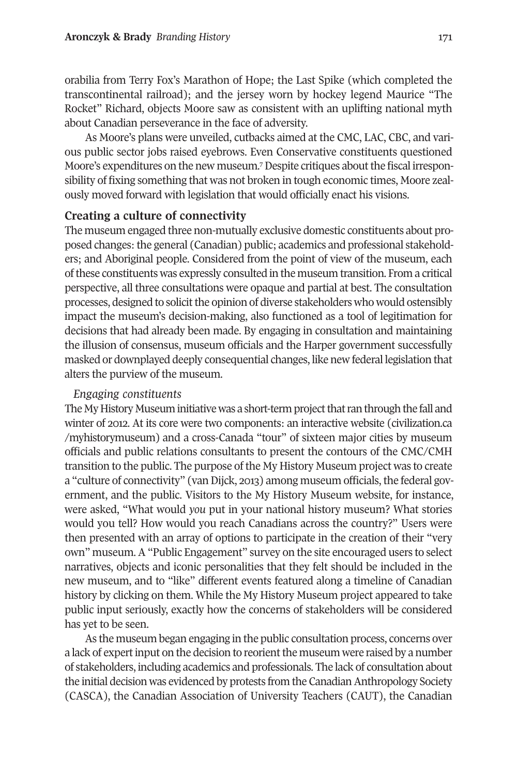orabilia from Terry Fox's Marathon of Hope; the Last Spike (which completed the transcontinental railroad); and the jersey worn by hockey legend Maurice "The Rocket" Richard, objects Moore saw as consistent with an uplifting national myth about Canadian perseverance in the face of adversity.

As Moore's plans were unveiled, cutbacks aimed at the CMC, LAC, CBC, and various public sector jobs raised eyebrows. E[ve](#page-15-6)n Conservative constituents questioned Moore's expenditures on the new museum.<sup>7</sup> Despite critiques about the fiscal irresponsibility of fixing something that was not broken in tough economic times, Moore zealously moved forward with legislation that would officially enact his visions.

## **Creating a culture of connectivity**

The museum engaged three non-mutually exclusive domestic constituents about proposed changes: the general (Canadian) public; academics and professional stakeholders; and Aboriginal people. Considered from the point of view of the museum, each ofthese constituents was expressly consulted in the museum transition. From a critical perspective, all three consultations were opaque and partial at best. The consultation processes, designed to solicit the opinion of diverse stakeholders who would ostensibly impact the museum's decision-making, also functioned as a tool of legitimation for decisions that had already been made. By engaging in consultation and maintaining the illusion of consensus, museum officials and the Harper government successfully masked or downplayed deeply consequential changes, like new federal legislation that alters the purview of the museum.

#### *Engaging constituents*

The My History Museum initiative was a short-term project that ran through the fall and winter of 2012. At its core were two components: an interactive website (civilization.ca /myhistorymuseum) and a cross-Canada "tour" of sixteen major cities by museum officials and public relations consultants to present the contours of the CMC/CMH transition to the public. The purpose of the My History Museum project was to create a "culture of connectivity" (van Dijck, 2013) among museum officials, the federal government, and the public. Visitors to the My History Museum website, for instance, were asked, "What would *you* put in your national history museum? What stories would you tell? How would you reach Canadians across the country?" Users were then presented with an array of options to participate in the creation of their "very own" museum. A "Public Engagement" survey on the site encouraged users to select narratives, objects and iconic personalities that they felt should be included in the new museum, and to "like" different events featured along a timeline of Canadian history by clicking on them. While the My History Museum project appeared to take public input seriously, exactly how the concerns of stakeholders will be considered has yet to be seen.

As the museum began engaging in the public consultation process, concerns over a lack of expertinput on the decision to reorient the museum were raised by a number of stakeholders, including academics and professionals. The lack of consultation about the initial decision was evidenced by protests from the Canadian Anthropology Society (CASCA), the Canadian Association of University Teachers (CAUT), the Canadian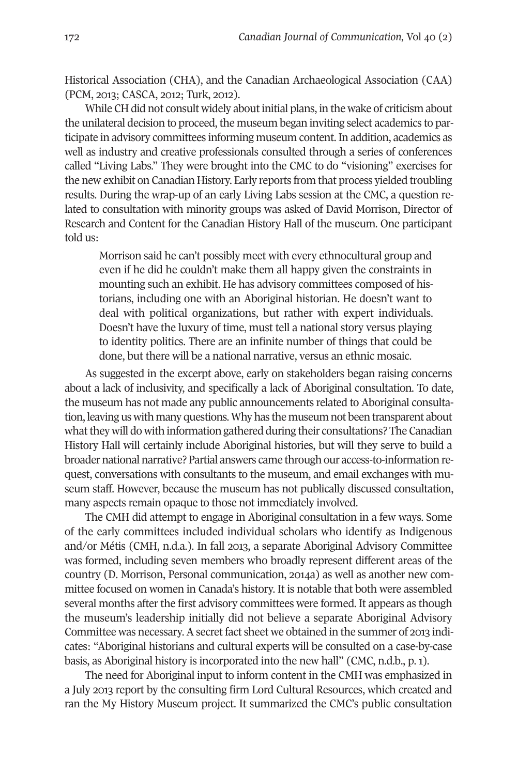Historical Association (CHA), and the Canadian Archaeological Association (CAA) (PCM, 2013; CASCA, 2012; Turk, 2012).

While CH did not consult widely about initial plans, in the wake of criticism about the unilateral decision to proceed, the museum began inviting select academics to participate in advisory committees informing museum content. In addition, academics as well as industry and creative professionals consulted through a series of conferences called "Living Labs." They were brought into the CMC to do "visioning" exercises for the new exhibit on Canadian History. Early reports from that process yielded troubling results. During the wrap-up of an early Living Labs session at the CMC, a question related to consultation with minority groups was asked of David Morrison, Director of Research and Content for the Canadian History Hall of the museum. One participant told us:

Morrison said he can't possibly meet with every ethnocultural group and even if he did he couldn't make them all happy given the constraints in mounting such an exhibit. He has advisory committees composed of historians, including one with an Aboriginal historian. He doesn't want to deal with political organizations, but rather with expert individuals. Doesn't have the luxury of time, must tell a national story versus playing to identity politics. There are an infinite number of things that could be done, but there will be a national narrative, versus an ethnic mosaic.

As suggested in the excerpt above, early on stakeholders began raising concerns about a lack of inclusivity, and specifically a lack of Aboriginal consultation. To date, the museum has not made any public announcements related to Aboriginal consultation, leaving uswith many questions.Why has the museum not been transparent about whatthey will do with information gathered during their consultations? The Canadian History Hall will certainly include Aboriginal histories, but will they serve to build a broader national narrative? Partial answers came through our access-to-information request, conversations with consultants to the museum, and email exchanges with museum staff. However, because the museum has not publically discussed consultation, many aspects remain opaque to those not immediately involved.

The CMH did attempt to engage in Aboriginal consultation in a few ways. Some of the early committees included individual scholars who identify as Indigenous and/or Métis (CMH, n.d.a.). In fall 2013, a separate Aboriginal Advisory Committee was formed, including seven members who broadly represent different areas of the country (D. Morrison, Personal communication, 2014a) as well as another new committee focused on women in Canada's history. It is notable that both were assembled several months after the first advisory committees were formed. It appears as though the museum's leadership initially did not believe a separate Aboriginal Advisory Committee was necessary. A secret fact sheet we obtained in the summer of 2013 indicates: "Aboriginal historians and cultural experts will be consulted on a case-by-case basis, as Aboriginal history is incorporated into the new hall" (CMC, n.d.b., p. 1).

The need for Aboriginal input to inform content in the CMH was emphasized in a July 2013 report by the consulting firm Lord Cultural Resources, which created and ran the My History Museum project. It summarized the CMC's public consultation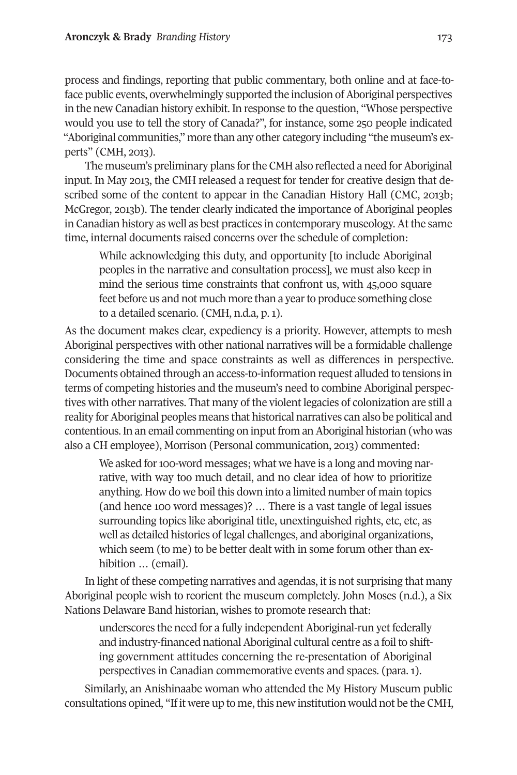process and findings, reporting that public commentary, both online and at face-toface public events, overwhelmingly supported the inclusion of Aboriginal perspectives in the new Canadian history exhibit. In response to the question, "Whose perspective would you use to tell the story of Canada?", for instance, some 250 people indicated "Aboriginal communities," more than any other category including "the museum's experts" (CMH, 2013).

The museum's preliminary plans for the CMH also reflected a need for Aboriginal input. In May 2013, the CMH released a request for tender for creative design that described some of the content to appear in the Canadian History Hall (CMC, 2013b; McGregor, 2013b). The tender clearly indicated the importance of Aboriginal peoples in Canadian history as well as best practices in contemporary museology. At the same time, internal documents raised concerns over the schedule of completion:

While acknowledging this duty, and opportunity [to include Aboriginal peoples in the narrative and consultation process], we must also keep in mind the serious time constraints that confront us, with 45,000 square feet before us and not much more than a year to produce something close to a detailed scenario. (CMH, n.d.a, p. 1).

As the document makes clear, expediency is a priority. However, attempts to mesh Aboriginal perspectives with other national narratives will be a formidable challenge considering the time and space constraints as well as differences in perspective. Documents obtained through an access-to-information request alluded to tensions in terms of competing histories and the museum's need to combine Aboriginal perspectives with other narratives. That many of the violent legacies of colonization are still a reality forAboriginal peoples means that historical narratives can also be political and contentious. In an email commenting on input from an Aboriginal historian (who was also a CH employee), Morrison (Personal communication, 2013) commented:

We asked for 100-word messages; what we have is a long and moving narrative, with way too much detail, and no clear idea of how to prioritize anything. How do we boil this down into a limited number of main topics (and hence 100 word messages)? … There is a vast tangle of legal issues surrounding topics like aboriginal title, unextinguished rights, etc, etc, as well as detailed histories of legal challenges, and aboriginal organizations, which seem (to me) to be better dealt with in some forum other than exhibition … (email).

In light of these competing narratives and agendas, it is not surprising that many Aboriginal people wish to reorient the museum completely. John Moses (n.d.), a Six Nations Delaware Band historian, wishes to promote research that:

underscores the need for a fully independent Aboriginal-run yet federally and industry-financed national Aboriginal cultural centre as a foil to shifting government attitudes concerning the re-presentation of Aboriginal perspectives in Canadian commemorative events and spaces. (para. 1).

Similarly, an Anishinaabe woman who attended the My History Museum public consultations opined, "If it were up to me, this new institution would not be the CMH,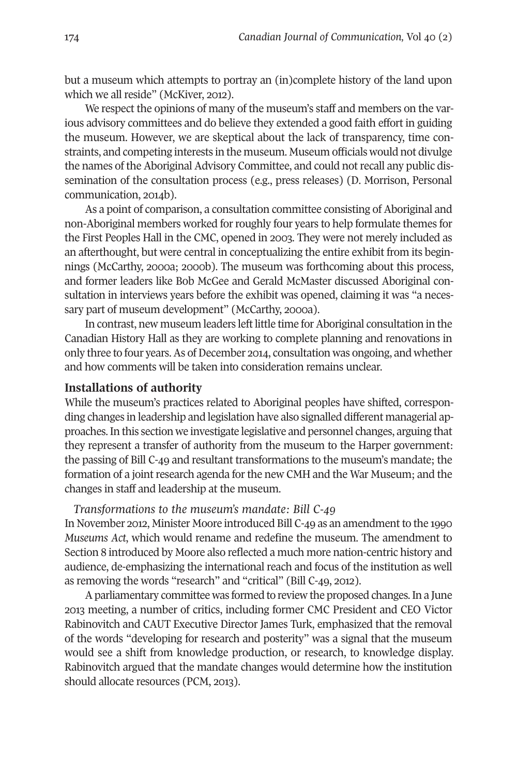but a museum which attempts to portray an (in)complete history of the land upon which we all reside" (McKiver, 2012).

We respect the opinions of many of the museum's staff and members on the various advisory committees and do believe they extended a good faith effort in guiding the museum. However, we are skeptical about the lack of transparency, time constraints, and competing interests in the museum. Museum officials would not divulge the names of the Aboriginal Advisory Committee, and could notrecall any public dissemination of the consultation process (e.g., press releases) (D. Morrison, Personal communication, 2014b).

As a point of comparison, a consultation committee consisting of Aboriginal and non-Aboriginal members worked for roughly four years to help formulate themes for the First Peoples Hall in the CMC, opened in 2003. They were not merely included as an afterthought, but were central in conceptualizing the entire exhibit from its beginnings (McCarthy, 2000a; 2000b). The museum was forthcoming about this process, and former leaders like Bob McGee and Gerald McMaster discussed Aboriginal consultation in interviews years before the exhibit was opened, claiming it was "a necessary part of museum development" (McCarthy, 2000a).

In contrast, new museum leaders left little time for Aboriginal consultation in the Canadian History Hall as they are working to complete planning and renovations in only three to four years. As of December 2014, consultation was ongoing, and whether and how comments will be taken into consideration remains unclear.

#### **Installations of authority**

While the museum's practices related to Aboriginal peoples have shifted, corresponding changes in leadership and legislation have also signalled different managerial approaches.In this section we investigate legislative and personnel changes, arguing that they represent a transfer of authority from the museum to the Harper government: the passing of Bill C-49 and resultant transformations to the museum's mandate; the formation of a joint research agenda for the new CMH and the War Museum; and the changes in staff and leadership at the museum.

## *Transformations to the museum's mandate: Bill C-49*

In November 2012, Minister Moore introduced Bill C-49 as an amendmentto the 1990 *Museums Act*, which would rename and redefine the museum. The amendment to Section 8 introduced by Moore also reflected a much more nation-centric history and audience, de-emphasizing the international reach and focus of the institution as well as removing the words "research" and "critical" (Bill C-49, 2012).

Aparliamentary committee was formed to review the proposed changes.In a June 2013 meeting, a number of critics, including former CMC President and CEO Victor Rabinovitch and CAUT Executive Director James Turk, emphasized that the removal of the words "developing for research and posterity" was a signal that the museum would see a shift from knowledge production, or research, to knowledge display. Rabinovitch argued that the mandate changes would determine how the institution should allocate resources (PCM, 2013).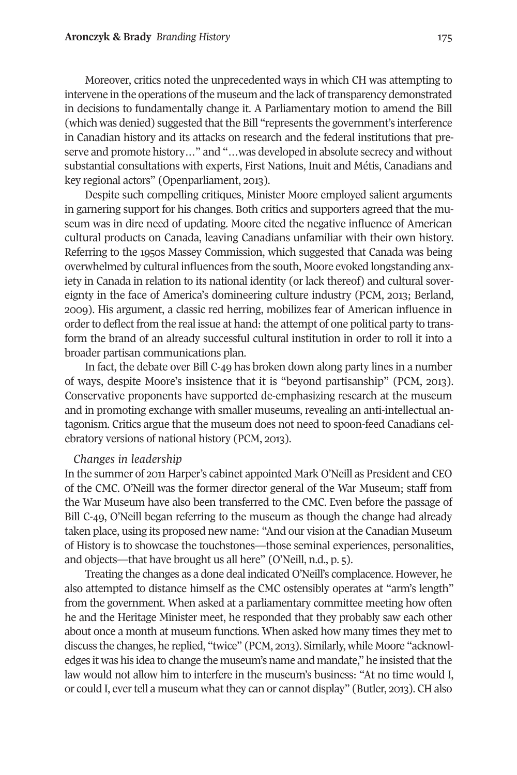Moreover, critics noted the unprecedented ways in which CH was attempting to intervene in the operations of the museum and the lack of transparency demonstrated in decisions to fundamentally change it. A Parliamentary motion to amend the Bill (which was denied) suggested that the Bill "represents the government's interference in Canadian history and its attacks on research and the federal institutions that preserve and promote history…" and "…was developed in absolute secrecy and without substantial consultations with experts, First Nations, Inuit and Métis, Canadians and key regional actors" (Openparliament, 2013).

Despite such compelling critiques, Minister Moore employed salient arguments in garnering support for his changes. Both critics and supporters agreed that the museum was in dire need of updating. Moore cited the negative influence of American cultural products on Canada, leaving Canadians unfamiliar with their own history. Referring to the 1950s Massey Commission, which suggested that Canada was being overwhelmed by cultural influences from the south, Moore evoked longstanding anxiety in Canada in relation to its national identity (or lack thereof) and cultural sovereignty in the face of America's domineering culture industry (PCM, 2013; Berland, 2009). His argument, a classic red herring, mobilizes fear of American influence in order to deflect from the real issue at hand: the attempt of one political party to transform the brand of an already successful cultural institution in order to roll it into a broader partisan communications plan.

In fact, the debate over Bill C-49 has broken down along party lines in a number of ways, despite Moore's insistence that it is "beyond partisanship" (PCM, 2013). Conservative proponents have supported de-emphasizing research at the museum and in promoting exchange with smaller museums, revealing an anti-intellectual antagonism. Critics argue that the museum does not need to spoon-feed Canadians celebratory versions of national history (PCM, 2013).

#### *Changes in leadership*

In the summer of 2011 Harper's cabinet appointed Mark O'Neill as President and CEO of the CMC. O'Neill was the former director general of the War Museum; staff from the War Museum have also been transferred to the CMC. Even before the passage of Bill C-49, O'Neill began referring to the museum as though the change had already taken place, using its proposed new name: "And our vision at the Canadian Museum of History is to showcase the touchstones—those seminal experiences, personalities, and objects—that have brought us all here" (O'Neill, n.d., p. 5).

Treating the changes as a done deal indicated O'Neill's complacence. However, he also attempted to distance himself as the CMC ostensibly operates at "arm's length" from the government. When asked at a parliamentary committee meeting how often he and the Heritage Minister meet, he responded that they probably saw each other about once a month at museum functions. When asked how many times they met to discuss the changes, he replied, "twice" (PCM, 2013). Similarly, while Moore "acknowledges it was his idea to change the museum's name and mandate," he insisted that the law would not allow him to interfere in the museum's business: "At no time would I, or could I, evertell a museum what they can or cannot display" (Butler, 2013). CH also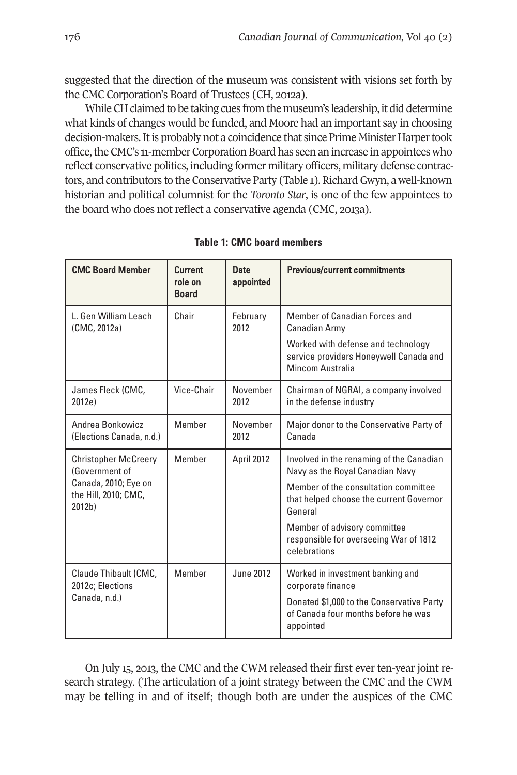suggested that the direction of the museum was consistent with visions set forth by the CMC Corporation's Board of Trustees (CH, 2012a).

While CH claimed to be taking cues from the museum's leadership, it did determine what kinds of changes would be funded, and Moore had an important say in choosing decision-makers. It is probably not a coincidence that since Prime Minister Harper took office, the CMC's 11-member Corporation Board has seen an increase in appointees who reflect conservative politics, including former military officers, military defense contractors, and contributors to the Conservative Party (Table 1). Richard Gwyn, a well-known historian and political columnist for the *Toronto Star*, is one of the few appointees to the board who does not reflect a conservative agenda (CMC, 2013a).

| <b>CMC Board Member</b>                                | Current<br>role on<br><b>Board</b> | Date<br>appointed | <b>Previous/current commitments</b>                                                              |
|--------------------------------------------------------|------------------------------------|-------------------|--------------------------------------------------------------------------------------------------|
| L. Gen William Leach<br>(CMC, 2012a)                   | Chair                              | February<br>2012  | Member of Canadian Forces and<br>Canadian Army                                                   |
|                                                        |                                    |                   | Worked with defense and technology<br>service providers Honeywell Canada and<br>Mincom Australia |
| James Fleck (CMC,<br>2012e)                            | Vice-Chair                         | November<br>2012  | Chairman of NGRAI, a company involved<br>in the defense industry                                 |
| Andrea Bonkowicz<br>(Elections Canada, n.d.)           | Member                             | November<br>2012  | Major donor to the Conservative Party of<br>Canada                                               |
| <b>Christopher McCreery</b><br>(Government of          | Member                             | April 2012        | Involved in the renaming of the Canadian<br>Navy as the Royal Canadian Navy                      |
| Canada, 2010; Eye on<br>the Hill, 2010; CMC,<br>2012b) |                                    |                   | Member of the consultation committee<br>that helped choose the current Governor<br>General       |
|                                                        |                                    |                   | Member of advisory committee<br>responsible for overseeing War of 1812<br>celebrations           |
| Claude Thibault (CMC,<br>2012c; Elections              | Member                             | <b>June 2012</b>  | Worked in investment banking and<br>corporate finance                                            |
| Canada, n.d.)                                          |                                    |                   | Donated \$1,000 to the Conservative Party<br>of Canada four months before he was<br>appointed    |

**Table 1: CMC board members**

On July 15, 2013, the CMC and the CWM released their first ever ten-year joint research strategy. (The articulation of a joint strategy between the CMC and the CWM may be telling in and of itself; though both are under the auspices of the CMC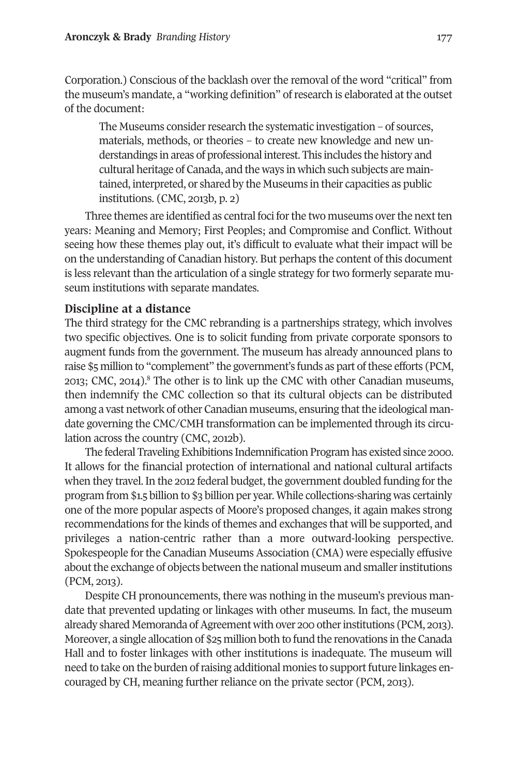Corporation.) Conscious of the backlash over the removal of the word "critical" from the museum's mandate, a "working definition" ofresearch is elaborated at the outset of the document:

The Museums consider research the systematic investigation – of sources, materials, methods, or theories – to create new knowledge and new understandings in areas of professional interest. This includes the history and cultural heritage of Canada, and the ways in which such subjects are maintained, interpreted, or shared by the Museums in their capacities as public institutions. (CMC, 2013b, p. 2)

Three themes are identified as central foci for the two museums over the next ten years: Meaning and Memory; First Peoples; and Compromise and Conflict. Without seeing how these themes play out, it's difficult to evaluate what their impact will be on the understanding of Canadian history. But perhaps the content of this document is less relevant than the articulation of a single strategy for two formerly separate museum institutions with separate mandates.

#### **Discipline at a distance**

The third strategy for the CMC rebranding is a partnerships strategy, which involves two specific objectives. One is to solicit funding from private corporate sponsors to augment funds from the government. The museum has already announced plans to raise \$5 million to ["c](#page-15-7)omplement" the government's funds as part of these efforts (PCM, 2013; CMC, 2014). <sup>8</sup> The other is to link up the CMC with other Canadian museums, then indemnify the CMC collection so that its cultural objects can be distributed among a vast network of other Canadian museums, ensuring that the ideological mandate governing the CMC/CMH transformation can be implemented through its circulation across the country (CMC, 2012b).

The federal Traveling Exhibitions Indemnification Program has existed since 2000. It allows for the financial protection of international and national cultural artifacts when they travel. In the 2012 federal budget, the government doubled funding for the program from \$1.5 billion to \$3 billion per year. While collections-sharing was certainly one of the more popular aspects of Moore's proposed changes, it again makes strong recommendations forthe kinds of themes and exchanges that will be supported, and privileges a nation-centric rather than a more outward-looking perspective. Spokespeople forthe Canadian Museums Association (CMA) were especially effusive about the exchange of objects between the national museum and smaller institutions (PCM, 2013).

Despite CH pronouncements, there was nothing in the museum's previous mandate that prevented updating or linkages with other museums. In fact, the museum already shared Memoranda of Agreement with over 200 other institutions (PCM, 2013). Moreover, a single allocation of \$25 million both to fund the renovations in the Canada Hall and to foster linkages with other institutions is inadequate. The museum will need to take on the burden of raising additional monies to support future linkages encouraged by CH, meaning further reliance on the private sector (PCM, 2013).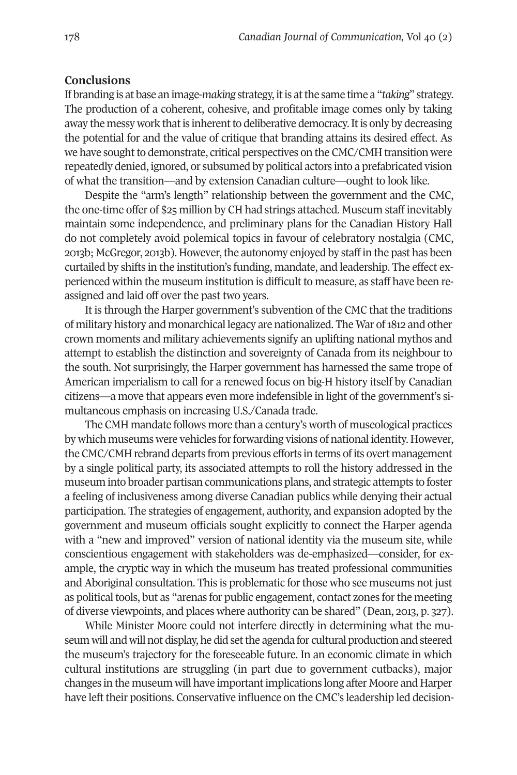## **Conclusions**

If branding is at base an image-*making* strategy, it is at the same time a "*taking*" strategy. The production of a coherent, cohesive, and profitable image comes only by taking away the messy work that is inherent to deliberative democracy. It is only by decreasing the potential for and the value of critique that branding attains its desired effect. As we have sought to demonstrate, critical perspectives on the CMC/CMH transition were repeatedly denied, ignored, or subsumed by political actors into a prefabricated vision of what the transition—and by extension Canadian culture—ought to look like.

Despite the "arm's length" relationship between the government and the CMC, the one-time offer of \$25 million by CH had strings attached. Museum staff inevitably maintain some independence, and preliminary plans for the Canadian History Hall do not completely avoid polemical topics in favour of celebratory nostalgia (CMC, 2013b; McGregor, 2013b). However, the autonomy enjoyed by staff in the past has been curtailed by shifts in the institution's funding, mandate, and leadership. The effect experienced within the museum institution is difficult to measure, as staff have been reassigned and laid off over the past two years.

It is through the Harper government's subvention of the CMC that the traditions of military history and monarchical legacy are nationalized. The War of1812 and other crown moments and military achievements signify an uplifting national mythos and attempt to establish the distinction and sovereignty of Canada from its neighbour to the south. Not surprisingly, the Harper government has harnessed the same trope of American imperialism to call for a renewed focus on big-H history itself by Canadian citizens—a move that appears even more indefensible in light of the government's simultaneous emphasis on increasing U.S./Canada trade.

The CMH mandate follows more than a century's worth of museological practices by which museums were vehicles for forwarding visions of national identity. However, the CMC/CMH rebrand departs from previous efforts in terms of its overt management by a single political party, its associated attempts to roll the history addressed in the museum into broader partisan communications plans, and strategic attempts to foster a feeling of inclusiveness among diverse Canadian publics while denying their actual participation. The strategies of engagement, authority, and expansion adopted by the government and museum officials sought explicitly to connect the Harper agenda with a "new and improved" version of national identity via the museum site, while conscientious engagement with stakeholders was de-emphasized—consider, for example, the cryptic way in which the museum has treated professional communities and Aboriginal consultation. This is problematic forthose who see museums not just as political tools, but as "arenas for public engagement, contact zones forthe meeting of diverse viewpoints, and places where authority can be shared" (Dean, 2013, p. 327).

While Minister Moore could not interfere directly in determining what the museum will and will not display, he did setthe agenda for cultural production and steered the museum's trajectory for the foreseeable future. In an economic climate in which cultural institutions are struggling (in part due to government cutbacks), major changes in the museum will have importantimplications long after Moore and Harper have left their positions. Conservative influence on the CMC's leadership led decision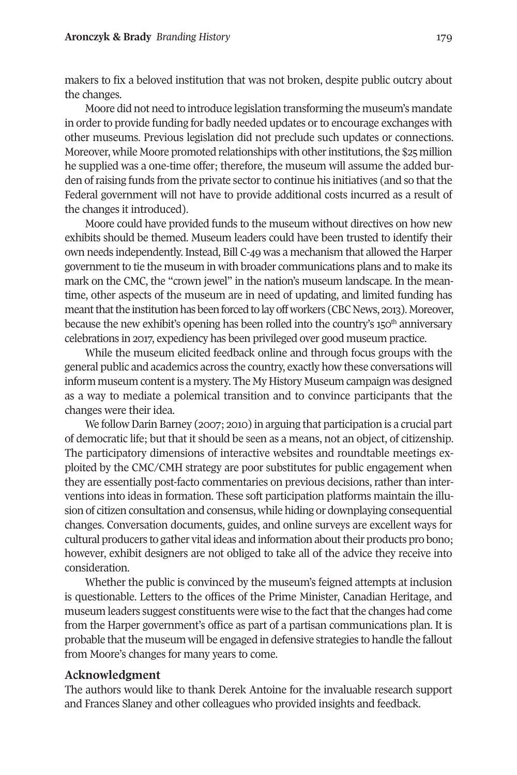makers to fix a beloved institution that was not broken, despite public outcry about the changes.

Moore did not need to introduce legislation transforming the museum's mandate in order to provide funding for badly needed updates or to encourage exchanges with other museums. Previous legislation did not preclude such updates or connections. Moreover, while Moore promoted relationships with other institutions, the \$25 million he supplied was a one-time offer; therefore, the museum will assume the added burden of raising funds from the private sector to continue his initiatives (and so that the Federal government will not have to provide additional costs incurred as a result of the changes it introduced).

Moore could have provided funds to the museum without directives on how new exhibits should be themed. Museum leaders could have been trusted to identify their own needs independently. Instead, Bill C-49 was a mechanism that allowed the Harper government to tie the museum in with broader communications plans and to make its mark on the CMC, the "crown jewel" in the nation's museum landscape. In the meantime, other aspects of the museum are in need of updating, and limited funding has meant that the institution has been forced to lay off workers (CBC News, 2013). Moreover, because the new exhibit's opening has been rolled into the country's 150th anniversary celebrations in 2017, expediency has been privileged over good museum practice.

While the museum elicited feedback online and through focus groups with the general public and academics across the country, exactly how these conversations will inform museum contentis a mystery. The My History Museum campaign was designed as a way to mediate a polemical transition and to convince participants that the changes were their idea.

We follow Darin Barney (2007; 2010) in arguing that participation is a crucial part of democratic life; but that it should be seen as a means, not an object, of citizenship. The participatory dimensions of interactive websites and roundtable meetings exploited by the CMC/CMH strategy are poor substitutes for public engagement when they are essentially post-facto commentaries on previous decisions, rather than interventions into ideas in formation. These soft participation platforms maintain the illusion of citizen consultation and consensus, while hiding or downplaying consequential changes. Conversation documents, guides, and online surveys are excellent ways for cultural producers to gather vital ideas and information about their products pro bono; however, exhibit designers are not obliged to take all of the advice they receive into consideration.

Whether the public is convinced by the museum's feigned attempts at inclusion is questionable. Letters to the offices of the Prime Minister, Canadian Heritage, and museum leaders suggest constituents were wise to the fact that the changes had come from the Harper government's office as part of a partisan communications plan. It is probable that the museum will be engaged in defensive strategies to handle the fallout from Moore's changes for many years to come.

## **Acknowledgment**

The authors would like to thank Derek Antoine for the invaluable research support and Frances Slaney and other colleagues who provided insights and feedback.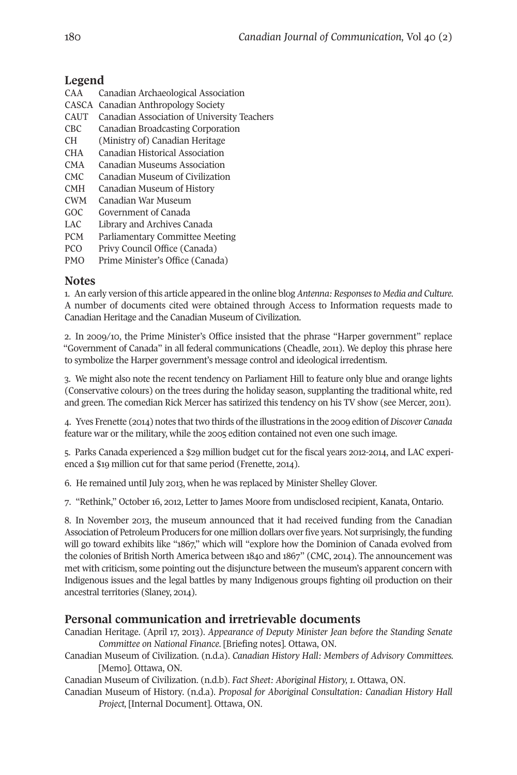# **Legend**

- CAA Canadian Archaeological Association
- CASCA Canadian Anthropology Society
- CAUT Canadian Association of University Teachers
- CBC Canadian Broadcasting Corporation
- CH (Ministry of) Canadian Heritage
- CHA Canadian Historical Association
- CMA Canadian Museums Association
- CMC Canadian Museum of Civilization
- CMH Canadian Museum of History
- CWM Canadian War Museum
- GOC Government of Canada
- LAC Library and Archives Canada
- PCM Parliamentary Committee Meeting
- PCO Privy Council Office (Canada)
- PMO Prime Minister's Office (Canada)

## <span id="page-15-0"></span>**Notes**

1. An early version of this article appeared in the online blog *Antenna: Responsesto Media and Culture*. A number of documents cited were obtained through Access to Information requests made to Canadian Heritage and the Canadian Museum of Civilization.

<span id="page-15-1"></span>2. In 2009/10, the Prime Minister's Office insisted that the phrase "Harper government" replace "Government of Canada" in all federal communications (Cheadle, 2011). We deploy this phrase here to symbolize the Harper government's message control and ideological irredentism.

<span id="page-15-3"></span>3. We might also note the recent tendency on Parliament Hill to feature only blue and orange lights (Conservative colours) on the trees during the holiday season, supplanting the traditional white, red and green. The comedian Rick Mercer has satirized this tendency on his TV show (see Mercer, 2011).

<span id="page-15-2"></span>4. Yves Frenette (2014) notes thattwo thirds ofthe illustrations in the 2009 edition of*Discover Canada* feature war or the military, while the 2005 edition contained not even one such image.

<span id="page-15-5"></span>5. Parks Canada experienced a \$29 million budget cut for the fiscal years 2012-2014, and LAC experienced a \$19 million cut for that same period (Frenette, 2014).

<span id="page-15-4"></span>6. He remained until July 2013, when he was replaced by Minister Shelley Glover.

<span id="page-15-6"></span>7. "Rethink," October 16, 2012, Letter to James Moore from undisclosed recipient, Kanata, Ontario.

<span id="page-15-7"></span>8. In November 2013, the museum announced that it had received funding from the Canadian Association of Petroleum Producers for one million dollars over five years. Not surprisingly,the funding will go toward exhibits like "1867," which will "explore how the Dominion of Canada evolved from the colonies of British North America between 1840 and 1867" (CMC, 2014). The announcement was met with criticism, some pointing out the disjuncture between the museum's apparent concern with Indigenous issues and the legal battles by many Indigenous groups fighting oil production on their ancestral territories (Slaney, 2014).

## **Personal communication and irretrievable documents**

Canadian Heritage. (April 17, 2013). *Appearance of Deputy Minister Jean before the Standing Senate Committee on National Finance*. [Briefing notes]. Ottawa, ON.

Canadian Museum of Civilization. (n.d.a). *Canadian History Hall: Members of Advisory Committees.* [Memo]. Ottawa, ON.

Canadian Museum of Civilization. (n.d.b). *Fact Sheet: Aboriginal History, 1*. Ottawa, ON.

Canadian Museum of History. (n.d.a). *Proposal for Aboriginal Consultation: Canadian History Hall Project,* [Internal Document]. Ottawa, ON.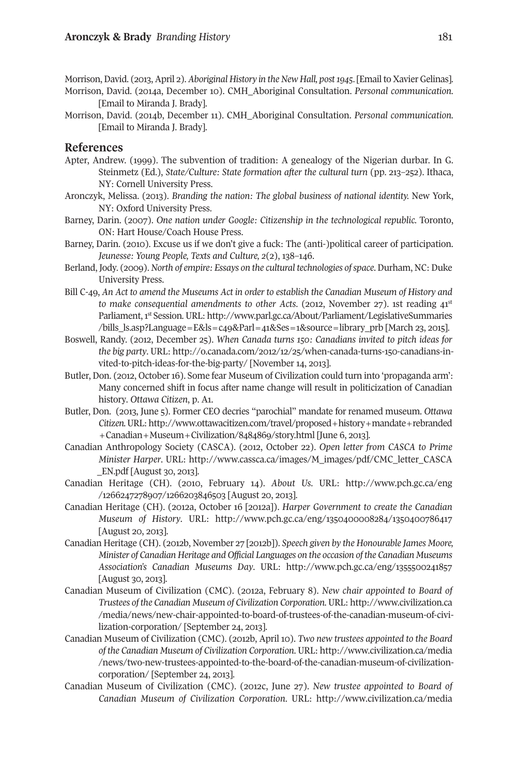Morrison,David. (2013,April 2). *Aboriginal History in theNew Hall, post1945*. [EmailtoXavier Gelinas]. Morrison, David. (2014a, December 10). CMH\_Aboriginal Consultation. *Personal communication.*

[Email to Miranda J. Brady].

Morrison, David. (2014b, December 11). CMH\_Aboriginal Consultation. *Personal communication.* [Email to Miranda J. Brady].

#### **References**

- Apter, Andrew. (1999). The subvention of tradition: A genealogy of the Nigerian durbar. In G. Steinmetz (Ed.), *State/Culture: State formation after the cultural turn* (pp. 213–252). Ithaca, NY: Cornell University Press.
- Aronczyk, Melissa. (2013). *Branding the nation: The global business of national identity.* New York, NY: Oxford University Press.
- Barney, Darin. (2007). *One nation under Google: Citizenship in the technological republic.* Toronto, ON: Hart House/Coach House Press.
- Barney, Darin. (2010). Excuse us if we don't give a fuck: The (anti-)political career of participation. *Jeunesse: Young People, Texts and Culture, 2*(2), 138–146.
- Berland, Jody. (2009). *North of empire: Essays on the cultural technologies ofspace*. Durham, NC: Duke University Press.
- Bill C-49, *An Act to amend the Museums Act in order to establish the Canadian Museum of History and to make consequential amendments to other Acts*. (2012, November 27). 1st reading 41st Parliament, 1st Session. URL: [http://www.parl.gc.ca/About/Parliament/LegislativeSummaries](http://www.parl.gc.ca/About/Parliament/LegislativeSummaries/bills_ls.asp?Language=E&ls=c49&Parl=41&Ses=1&source=library_prb) [/bills\\_ls.asp?Language=E&ls=c49&Parl=41&Ses=1&source=library\\_prb](http://www.parl.gc.ca/About/Parliament/LegislativeSummaries/bills_ls.asp?Language=E&ls=c49&Parl=41&Ses=1&source=library_prb) [March 23, 2015].
- Boswell, Randy. (2012, December 25). *When Canada turns 150: Canadians invited to pitch ideas for the big party*. URL: [http://o.canada.com/2012/12/25/when-canada-turns-150-canadians-in](http://o.canada.com/2012/12/25/when-canada-turns-150-canadians-invited-to-pitch-ideas-for-the-big-party/)[vited-to-pitch-ideas-for-the-big-party/](http://o.canada.com/2012/12/25/when-canada-turns-150-canadians-invited-to-pitch-ideas-for-the-big-party/) [November 14, 2013].
- Butler, Don. (2012, October16). Some fear Museum of Civilization could turn into 'propaganda arm': Many concerned shift in focus after name change will result in politicization of Canadian history*. Ottawa Citizen*, p. A1.
- Butler, Don. (2013, June 5). Former CEO decries "parochial" mandate for renamed museum. *Ottawa Citizen.*URL: [http://www.ottawacitizen.com/travel/proposed+history+mandate+rebranded](http://www.ottawacitizen.com/travel/proposed+history+mandate+rebranded+Canadian+Museum+Civilization/8484869/story.html) [+Canadian+Museum+Civilization/8484869/story.html](http://www.ottawacitizen.com/travel/proposed+history+mandate+rebranded+Canadian+Museum+Civilization/8484869/story.html) [June 6, 2013].
- Canadian Anthropology Society (CASCA). (2012, October 22). *Open letter from CASCA to Prime Minister Harper*. URL: [http://www.cassca.ca/images/M\\_images/pdf/CMC\\_letter\\_CASCA](http://www.cassca.ca/images/M_images/pdf/CMC_letter_CASCA_EN.pdf) [\\_EN.pdf](http://www.cassca.ca/images/M_images/pdf/CMC_letter_CASCA_EN.pdf) [August 30, 2013].
- Canadian Heritage (CH). (2010, February 14). *About Us*. URL: [http://www.pch.gc.ca/eng](http://www.cassca.ca/images/M_images/pdf/CMC_letter_CASCA_EN.pdf) [/1266247278907/1266203846503](http://www.cassca.ca/images/M_images/pdf/CMC_letter_CASCA_EN.pdf) [August 20, 2013].
- Canadian Heritage (CH). (2012a, October 16 [2012a]). *Harper Government to create the Canadian Museum of History*. URL: [http://www.pch.gc.ca/eng/1350400008284/1350400786417](http://www.pch.gc.ca/eng/1350400008284/1350400786417 ) [August 20, 2013].
- Canadian Heritage (CH). (2012b, November 27 [2012b]). *Speech given by the Honourable James Moore, Minister of Canadian Heritage and Official Languages on the occasion of the Canadian Museums [Association's](http://www.pch.gc.ca/eng/1350400008284/1350400786417 ) Canadian Museums Day*. URL: <http://www.pch.gc.ca/eng/1355500241857> [August 30, 2013].
- Canadian Museum of Civilization (CMC). (2012a, February 8). *New chair appointed to Board of Trustees of the Canadian Museum of Civilization Corporation*. URL: [http://www.civilization.ca](http://www.civilization.ca/media/news/new-chair-appointed-to-board-of-trustees-of-the-canadian-museum-of-civilization-corporation/) [/media/news/new-chair-appointed-to-board-of-trustees-of-the-canadian-museum-of-civi](http://www.civilization.ca/media/news/new-chair-appointed-to-board-of-trustees-of-the-canadian-museum-of-civilization-corporation/)[lization-corporation/](http://www.civilization.ca/media/news/new-chair-appointed-to-board-of-trustees-of-the-canadian-museum-of-civilization-corporation/) [September 24, 2013].
- Canadian Museum of Civilization (CMC). (2012b, April 10). *Two new trustees appointed to the Board of the Canadian Museum of Civilization Corporation*. URL: [http://www.civilization.ca/media](http://www.civilization.ca/media/news/two-new-trustees-appointed-to-the-board-of-the-canadian-museum-of-civilization-corporation/) [/news/two-new-trustees-appointed-to-the-board-of-the-canadian-museum-of-civilization](http://www.civilization.ca/media/news/two-new-trustees-appointed-to-the-board-of-the-canadian-museum-of-civilization-corporation/)[corporation/](http://www.civilization.ca/media/news/two-new-trustees-appointed-to-the-board-of-the-canadian-museum-of-civilization-corporation/) [September 24, 2013].
- Canadian Museum of Civilization (CMC). (2012c, June 27). *New trustee appointed to Board of Canadian Museum of Civilization Corporation*. URL: [http://www.civilization.ca/media](http://www.civilization.ca/media/news/new-trustee-appointed-to-board-of-canadian-museum-of-civilization-corporation/)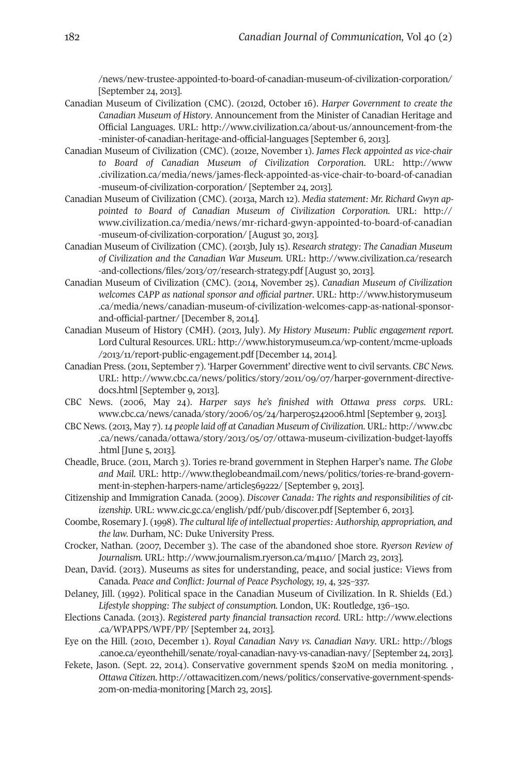[/news/new-trustee-appointed-to-board-of-canadian-museum-of-civilization-corporation/](http://www.civilization.ca/media/news/new-trustee-appointed-to-board-of-canadian-museum-of-civilization-corporation/) [September 24, 2013].

- Canadian Museum of Civilization (CMC). (2012d, October 16). *Harper Government to create the Canadian Museum of History*. Announcement from the Minister of Canadian Heritage and Official Languages. URL: [http://www.civilization.ca/about-us/announcement-from-the](http://www.civilization.ca/about-us/announcement-from-the-minister-of-canadian-heritage-and-official-languages) [-minister-of-canadian-heritage-and-official-languages](http://www.civilization.ca/about-us/announcement-from-the-minister-of-canadian-heritage-and-official-languages) [September 6, 2013].
- Canadian Museum of Civilization (CMC). (2012e, November 1). *James Fleck appointed as vice-chair to Board of Canadian Museum of Civilization Corporation*. URL: [http://www](http://www.civilization.ca/media/news/james-fleck-appointed-as-vice-chair-to-board-of-canadian-museum-of-civilization-corporation/) [.civilization.ca/media/news/james-fleck-appointed-as-vice-chair-to-board-of-canadian](http://www.civilization.ca/media/news/james-fleck-appointed-as-vice-chair-to-board-of-canadian-museum-of-civilization-corporation/) [-museum-of-civilization-corporation/](http://www.civilization.ca/media/news/james-fleck-appointed-as-vice-chair-to-board-of-canadian-museum-of-civilization-corporation/) [September 24, 2013].
- Canadian Museum of Civilization (CMC). (2013a, March 12). *Media statement: Mr. Richard Gwyn appointed to Board of Canadian Museum of Civilization Corporation.* URL: [http://](http://www.civilization.ca/media/news/mr-richard-gwyn-appointed-to-board-of-canadian-museum-of-civilization-corporation/) [www.civilization.ca/media/news/mr-richard-gwyn-appointed-to-board-of-canadian](http://www.civilization.ca/media/news/mr-richard-gwyn-appointed-to-board-of-canadian-museum-of-civilization-corporation/) [-museum-of-civilization-corporation/](http://www.civilization.ca/media/news/mr-richard-gwyn-appointed-to-board-of-canadian-museum-of-civilization-corporation/) [August 30, 2013].
- Canadian Museum of Civilization (CMC). (2013b, July 15). *Research strategy: The Canadian Museum of Civilization and the Canadian War Museum.* URL: [http://www.civilization.ca/research](http://www.civilization.ca/research-and-collections/files/2013/07/research-strategy.pdf) [-and-collections/files/2013/07/research-strategy.pdf](http://www.civilization.ca/research-and-collections/files/2013/07/research-strategy.pdf) [August 30, 2013].
- Canadian Museum of Civilization (CMC). (2014, November 25). *Canadian Museum of Civilization welcomes CAPP as national sponsor and official partner*. URL: [http://www.historymuseum](http://www.historymuseum.ca/media/news/canadian-museum-of-civilization-welcomes-capp-as-national-sponsor-and-official-partner/) [.ca/media/news/canadian-museum-of-civilization-welcomes-capp-as-national-sponsor](http://www.historymuseum.ca/media/news/canadian-museum-of-civilization-welcomes-capp-as-national-sponsor-and-official-partner/)[and-official-partner/](http://www.historymuseum.ca/media/news/canadian-museum-of-civilization-welcomes-capp-as-national-sponsor-and-official-partner/) [December 8, 2014].
- Canadian Museum of History (CMH). (2013, July). *My History Museum: Public engagement report.* Lord Cultural Resources. URL: [http://www.historymuseum.ca/wp-content/mcme-uploads](http://www.historymuseum.ca/wp-content/mcme-uploads/2013/11/report-public-engagement.pdf) [/2013/11/report-public-engagement.pdf](http://www.historymuseum.ca/wp-content/mcme-uploads/2013/11/report-public-engagement.pdf) [December 14, 2014].
- Canadian Press. (2011, September 7). 'Harper Government' directive went to civil servants. *CBC News*. URL: [http://www.cbc.ca/news/politics/story/2011/09/07/harper-government-directive](http://www.cbc.ca/news/politics/story/2011/09/07/harper-government-directive-docs.html)[docs.html](http://www.cbc.ca/news/politics/story/2011/09/07/harper-government-directive-docs.html) [September 9, 2013].
- CBC News. (2006, May 24). *Harper says he's finished with Ottawa press corps*. URL: <www.cbc.ca/news/canada/story/2006/05/24/harper05242006.html> [September 9, 2013].
- CBC News. (2013, May 7).*14 people laid off at Canadian Museum of Civilization*. URL: [http://www.cbc](http://www.cbc.ca/news/canada/ottawa/story/2013/05/07/ottawa-museum-civilization-budget-layoffs.html) [.ca/news/canada/ottawa/story/2013/05/07/ottawa-museum-civilization-budget-layoffs](http://www.cbc.ca/news/canada/ottawa/story/2013/05/07/ottawa-museum-civilization-budget-layoffs.html) [.html](http://www.cbc.ca/news/canada/ottawa/story/2013/05/07/ottawa-museum-civilization-budget-layoffs.html) [June 5, 2013].
- Cheadle, Bruce. (2011, March 3). Tories re-brand government in Stephen Harper's name. *The Globe and Mail.* URL: [http://www.theglobeandmail.com/news/politics/tories-re-brand-govern](http://www.theglobeandmail.com/news/politics/tories-re-brand-government-in-stephen-harpers-name/article569222/)[ment-in-stephen-harpers-name/article569222/](http://www.theglobeandmail.com/news/politics/tories-re-brand-government-in-stephen-harpers-name/article569222/) [September 9, 2013].
- Citizenship and Immigration Canada. (2009). *Discover Canada: The rights and responsibilities of citizenship*. URL: <www.cic.gc.ca/english/pdf/pub/discover.pdf> [September 6, 2013].
- Coombe, Rosemary J. (1998). *The cultural life of intellectual properties: Authorship, appropriation, and the law.* Durham, NC: Duke University Press.
- Crocker, Nathan. (2007, December 3). The case of the abandoned shoe store. *Ryerson Review of Journalism.* URL: <http://www.journalism.ryerson.ca/m4110/> [March 23, 2013].
- Dean, David. (2013). Museums as sites for understanding, peace, and social justice: Views from Canada. *Peace and Conflict: Journal of Peace Psychology, 19*, 4, 325–337.
- Delaney, Jill. (1992). Political space in the Canadian Museum of Civilization. In R. Shields (Ed.) *Lifestyle shopping: The subject of consumption.* London, UK: Routledge, 136–150.
- Elections Canada. (2013). *Registered party financial transaction record*. URL: [http://www.elections](http://www.elections.ca/WPAPPS/WPF/PP/) [.ca/WPAPPS/WPF/PP/](http://www.elections.ca/WPAPPS/WPF/PP/) [September 24, 2013].
- Eye on the Hill. (2010, December 1). *Royal Canadian Navy vs. Canadian Navy*. URL: [http://blogs](http://blogs.canoe.ca/eyeonthehill/senate/royal-canadian-navy-vs-canadian-navy/) [.canoe.ca/eyeonthehill/senate/royal-canadian-navy-vs-canadian-navy/](http://blogs.canoe.ca/eyeonthehill/senate/royal-canadian-navy-vs-canadian-navy/) [September 24, 2013].
- Fekete, Jason. (Sept. 22, 2014). Conservative government spends \$20M on media monitoring. , *Ottawa Citizen*. [http://ottawacitizen.com/news/politics/conservative-government-spends-](http://ottawacitizen.com/news/politics/conservative-government-spends-20m-on-media-monitoring)[20m-on-media-monitoring](http://ottawacitizen.com/news/politics/conservative-government-spends-20m-on-media-monitoring) [March 23, 2015].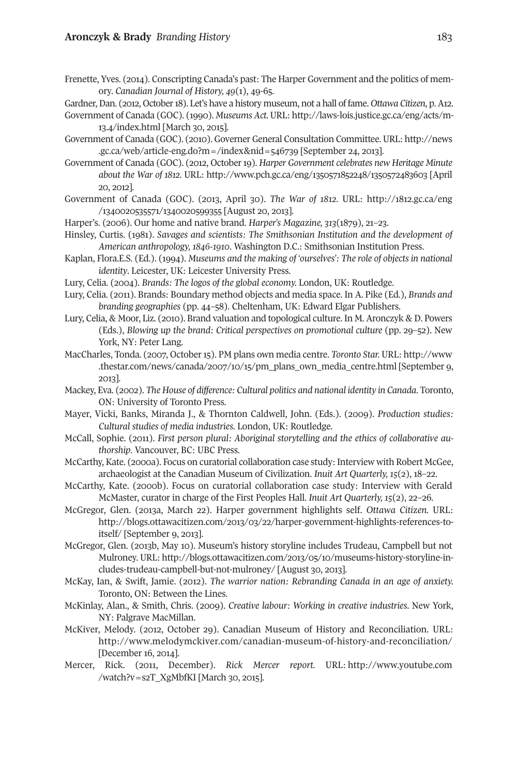- Frenette, Yves. (2014). Conscripting Canada's past: The Harper Government and the politics of memory. *Canadian Journal of History, 49*(1), 49-65.
- Gardner, Dan. (2012, October 18). Let's have a history museum, not a hall of fame. *Ottawa Citizen*, p. A12.
- Government of Canada (GOC). (1990). *Museums Act.* URL: [http://laws-lois.justice.gc.ca/eng/acts/m-](http://laws-lois.justice.gc.ca/eng/acts/m-13.4/index.html)[13.4/index.html](http://laws-lois.justice.gc.ca/eng/acts/m-13.4/index.html) [March 30, 2015].
- Government of Canada (GOC). (2010). Governer General Consultation Committee. URL: [http://news](http://news.gc.ca/web/article-eng.do?m=/index&nid=546739) [.gc.ca/web/article-eng.do?m=/index&nid=546739](http://news.gc.ca/web/article-eng.do?m=/index&nid=546739) [September 24, 2013].
- Government of Canada (GOC). (2012, October 19). *Harper Government celebrates new Heritage Minute about the War of 1812*. URL: <http://www.pch.gc.ca/eng/1350571852248/1350572483603> [April 20, 2012].
- Government of Canada (GOC). (2013, April 30). *The War of 1812*. URL: [http://1812.gc.ca/eng](http://1812.gc.ca/eng/1340020535571/1340020599355) [/1340020535571/1340020599355](http://1812.gc.ca/eng/1340020535571/1340020599355) [August 20, 2013].
- Harper's. (2006). Our home and native brand. *Harper's Magazine, 313*(1879), 21–23.
- Hinsley, Curtis. (1981). *Savages and scientists: The Smithsonian Institution and the development of American anthropology, 1846-1910*. Washington D.C.: Smithsonian Institution Press.
- Kaplan, Flora.E.S. (Ed.). (1994). *Museums and the making of 'ourselves': The role of objects in national identity*. Leicester, UK: Leicester University Press.
- Lury, Celia. (2004). *Brands: The logos of the global economy.* London, UK: Routledge.
- Lury, Celia. (2011). Brands: Boundary method objects and media space. In A. Pike (Ed.), *Brands and branding geographies* (pp. 44–58). Cheltenham, UK: Edward Elgar Publishers.
- Lury, Celia, & Moor, Liz. (2010). Brand valuation and topological culture. In M. Aronczyk & D. Powers (Eds.), *Blowing up the brand: Critical perspectives on promotional culture* (pp. 29–52). New York, NY: Peter Lang.
- MacCharles, Tonda. (2007, October15). PM plans own media centre. *Toronto Star.* URL: [http://www](http://www.thestar.com/news/canada/2007/10/15/pm_plans_own_media_centre.html) [.thestar.com/news/canada/2007/10/15/pm\\_plans\\_own\\_media\\_centre.html](http://www.thestar.com/news/canada/2007/10/15/pm_plans_own_media_centre.html) [September 9, 2013].
- Mackey, Eva. (2002). *The House of difference: Cultural politics and national identity in Canada*. Toronto, ON: University of Toronto Press.
- Mayer, Vicki, Banks, Miranda J., & Thornton Caldwell, John. (Eds.). (2009). *Production studies: Cultural studies of media industries*. London, UK: Routledge.
- McCall, Sophie. (2011). *First person plural: Aboriginal storytelling and the ethics of collaborative authorship*. Vancouver, BC: UBC Press.
- McCarthy, Kate. (2000a). Focus on curatorial collaboration case study: Interview with Robert McGee, archaeologist at the Canadian Museum of Civilization. *Inuit Art Quarterly, 15*(2), 18–22.
- McCarthy, Kate. (2000b). Focus on curatorial collaboration case study: Interview with Gerald McMaster, curator in charge of the First Peoples Hall. *Inuit Art Quarterly, 15*(2), 22–26.
- McGregor, Glen. (2013a, March 22). Harper government highlights self. *Ottawa Citizen.* URL: [http://blogs.ottawacitizen.com/2013/03/22/harper-government-highlights-references-to](http://blogs.ottawacitizen.com/2013/03/22/harper-government-highlights-references-to-itself/)[itself/](http://blogs.ottawacitizen.com/2013/03/22/harper-government-highlights-references-to-itself/) [September 9, 2013].
- McGregor, Glen. (2013b, May 10). Museum's history storyline includes Trudeau, Campbell but not Mulroney. URL: [http://blogs.ottawacitizen.com/2013/05/10/museums-history-storyline-in](http://blogs.ottawacitizen.com/2013/05/10/museums-history-storyline-includes-trudeau-campbell-but-not-mulroney/)[cludes-trudeau-campbell-but-not-mulroney/](http://blogs.ottawacitizen.com/2013/05/10/museums-history-storyline-includes-trudeau-campbell-but-not-mulroney/) [August 30, 2013].
- McKay, Ian, & Swift, Jamie. (2012). *The warrior nation: Rebranding Canada in an age of anxiety.* Toronto, ON: Between the Lines.
- McKinlay, Alan., & Smith, Chris. (2009). *Creative labour: Working in creative industries*. New York, NY: Palgrave MacMillan.
- McKiver, Melody. (2012, October 29). Canadian Museum of History and Reconciliation. URL: <http://www.melodymckiver.com/canadian-museum-of-history-and-reconciliation/> [December 16, 2014].
- Mercer, Rick. (2011, December). *Rick Mercer report.* URL: [http://www.youtube.com](http://www.youtube.com/watch?v=s2T_XgMbfKI) [/watch?v=s2T\\_XgMbfKI](http://www.youtube.com/watch?v=s2T_XgMbfKI) [March 30, 2015].